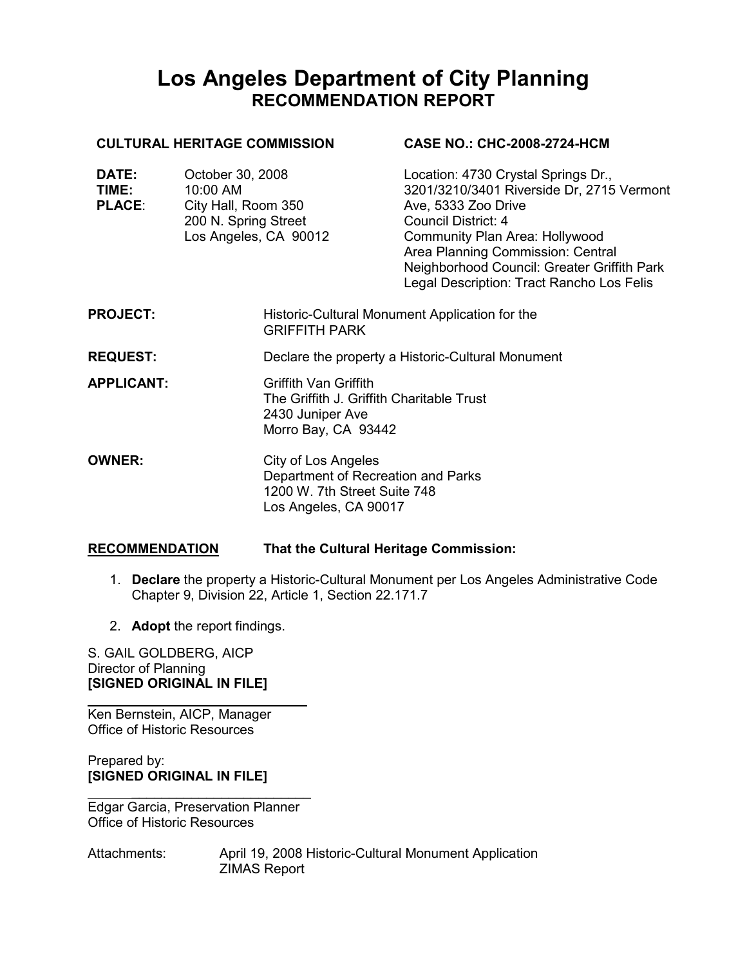# Los Angeles Department of City Planning RECOMMENDATION REPORT

#### **PROJECT:** Historic-Cultural Monument Application for the GRIFFITH PARK REQUEST: Declare the property a Historic-Cultural Monument APPLICANT: Griffith Van Griffith The Griffith J. Griffith Charitable Trust 2430 Juniper Ave Morro Bay, CA 93442 **OWNER:** City of Los Angeles Department of Recreation and Parks 1200 W. 7th Street Suite 748 Los Angeles, CA 90017 CULTURAL HERITAGE COMMISSION DATE: October 30, 2008 TIME: 10:00 AM PLACE: City Hall, Room 350 200 N. Spring Street Los Angeles, CA 90012 CASE NO.: CHC-2008-2724-HCM Location: 4730 Crystal Springs Dr., 3201/3210/3401 Riverside Dr, 2715 Vermont Ave, 5333 Zoo Drive Council District: 4 Community Plan Area: Hollywood Area Planning Commission: Central Neighborhood Council: Greater Griffith Park Legal Description: Tract Rancho Los Felis

# RECOMMENDATION That the Cultural Heritage Commission:

j.

- 1. Declare the property a Historic-Cultural Monument per Los Angeles Administrative Code Chapter 9, Division 22, Article 1, Section 22.171.7
- 2. Adopt the report findings.

S. GAIL GOLDBERG, AICP Director of Planning [SIGNED ORIGINAL IN FILE]

Ken Bernstein, AICP, Manager Office of Historic Resources

Prepared by: [SIGNED ORIGINAL IN FILE]

 $\mathcal{L}=\mathcal{L}=\mathcal{L}=\mathcal{L}=\mathcal{L}=\mathcal{L}=\mathcal{L}=\mathcal{L}=\mathcal{L}=\mathcal{L}=\mathcal{L}=\mathcal{L}=\mathcal{L}=\mathcal{L}=\mathcal{L}=\mathcal{L}=\mathcal{L}=\mathcal{L}=\mathcal{L}=\mathcal{L}=\mathcal{L}=\mathcal{L}=\mathcal{L}=\mathcal{L}=\mathcal{L}=\mathcal{L}=\mathcal{L}=\mathcal{L}=\mathcal{L}=\mathcal{L}=\mathcal{L}=\mathcal{L}=\mathcal{L}=\mathcal{L}=\mathcal{L}=\mathcal{L}=\mathcal{$ Edgar Garcia, Preservation Planner Office of Historic Resources

Attachments: April 19, 2008 Historic-Cultural Monument Application ZIMAS Report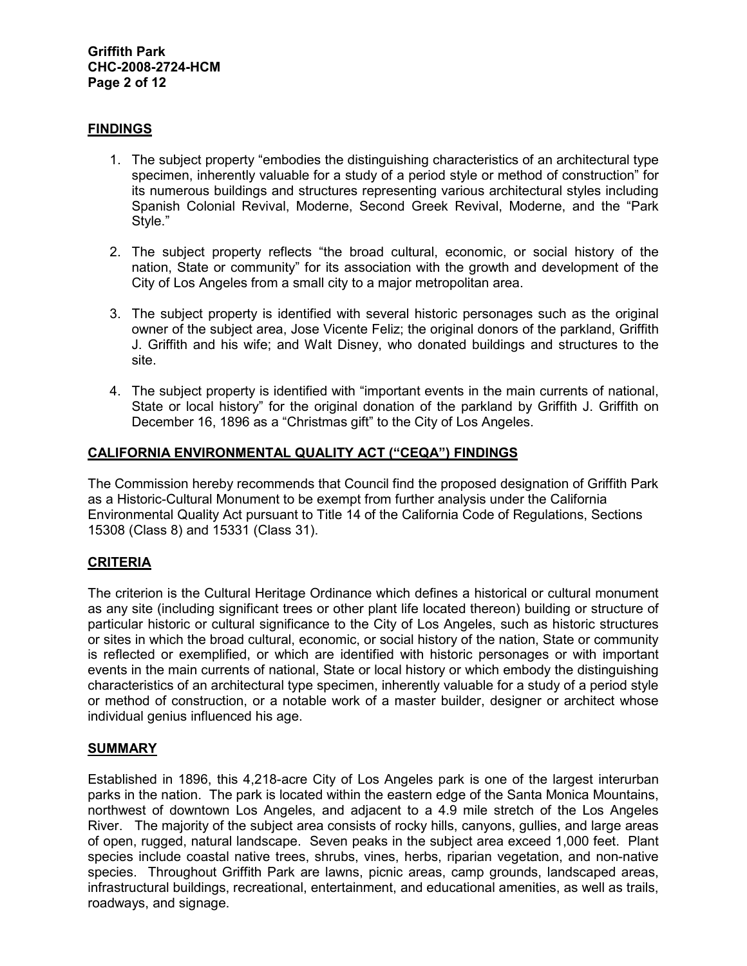### **FINDINGS**

- 1. The subject property "embodies the distinguishing characteristics of an architectural type specimen, inherently valuable for a study of a period style or method of construction" for its numerous buildings and structures representing various architectural styles including Spanish Colonial Revival, Moderne, Second Greek Revival, Moderne, and the "Park Style."
- 2. The subject property reflects "the broad cultural, economic, or social history of the nation, State or community" for its association with the growth and development of the City of Los Angeles from a small city to a major metropolitan area.
- 3. The subject property is identified with several historic personages such as the original owner of the subject area, Jose Vicente Feliz; the original donors of the parkland, Griffith J. Griffith and his wife; and Walt Disney, who donated buildings and structures to the site.
- 4. The subject property is identified with "important events in the main currents of national, State or local history" for the original donation of the parkland by Griffith J. Griffith on December 16, 1896 as a "Christmas gift" to the City of Los Angeles.

# CALIFORNIA ENVIRONMENTAL QUALITY ACT ("CEQA") FINDINGS

The Commission hereby recommends that Council find the proposed designation of Griffith Park as a Historic-Cultural Monument to be exempt from further analysis under the California Environmental Quality Act pursuant to Title 14 of the California Code of Regulations, Sections 15308 (Class 8) and 15331 (Class 31).

# **CRITERIA**

The criterion is the Cultural Heritage Ordinance which defines a historical or cultural monument as any site (including significant trees or other plant life located thereon) building or structure of particular historic or cultural significance to the City of Los Angeles, such as historic structures or sites in which the broad cultural, economic, or social history of the nation, State or community is reflected or exemplified, or which are identified with historic personages or with important events in the main currents of national, State or local history or which embody the distinguishing characteristics of an architectural type specimen, inherently valuable for a study of a period style or method of construction, or a notable work of a master builder, designer or architect whose individual genius influenced his age.

#### SUMMARY

Established in 1896, this 4,218-acre City of Los Angeles park is one of the largest interurban parks in the nation. The park is located within the eastern edge of the Santa Monica Mountains, northwest of downtown Los Angeles, and adjacent to a 4.9 mile stretch of the Los Angeles River. The majority of the subject area consists of rocky hills, canyons, gullies, and large areas of open, rugged, natural landscape. Seven peaks in the subject area exceed 1,000 feet. Plant species include coastal native trees, shrubs, vines, herbs, riparian vegetation, and non-native species. Throughout Griffith Park are lawns, picnic areas, camp grounds, landscaped areas, infrastructural buildings, recreational, entertainment, and educational amenities, as well as trails, roadways, and signage.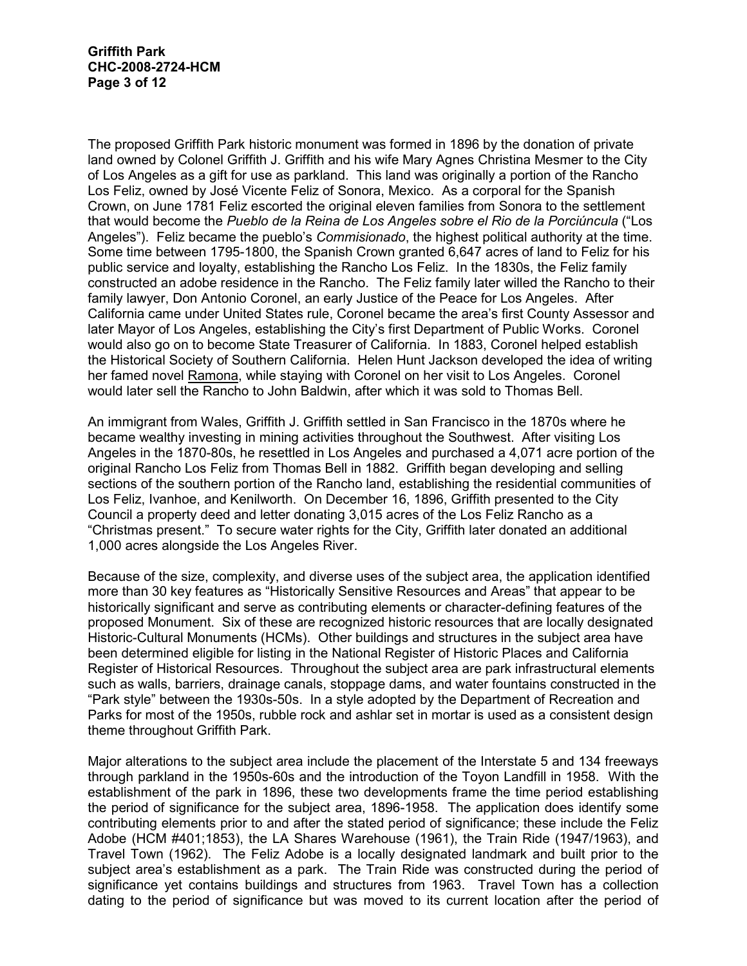The proposed Griffith Park historic monument was formed in 1896 by the donation of private land owned by Colonel Griffith J. Griffith and his wife Mary Agnes Christina Mesmer to the City of Los Angeles as a gift for use as parkland. This land was originally a portion of the Rancho Los Feliz, owned by José Vicente Feliz of Sonora, Mexico. As a corporal for the Spanish Crown, on June 1781 Feliz escorted the original eleven families from Sonora to the settlement that would become the Pueblo de la Reina de Los Angeles sobre el Rio de la Porciúncula ("Los Angeles"). Feliz became the pueblo's *Commisionado*, the highest political authority at the time. Some time between 1795-1800, the Spanish Crown granted 6,647 acres of land to Feliz for his public service and loyalty, establishing the Rancho Los Feliz. In the 1830s, the Feliz family constructed an adobe residence in the Rancho. The Feliz family later willed the Rancho to their family lawyer, Don Antonio Coronel, an early Justice of the Peace for Los Angeles. After California came under United States rule, Coronel became the area's first County Assessor and later Mayor of Los Angeles, establishing the City's first Department of Public Works. Coronel would also go on to become State Treasurer of California. In 1883, Coronel helped establish the Historical Society of Southern California. Helen Hunt Jackson developed the idea of writing her famed novel Ramona, while staying with Coronel on her visit to Los Angeles. Coronel would later sell the Rancho to John Baldwin, after which it was sold to Thomas Bell.

An immigrant from Wales, Griffith J. Griffith settled in San Francisco in the 1870s where he became wealthy investing in mining activities throughout the Southwest. After visiting Los Angeles in the 1870-80s, he resettled in Los Angeles and purchased a 4,071 acre portion of the original Rancho Los Feliz from Thomas Bell in 1882. Griffith began developing and selling sections of the southern portion of the Rancho land, establishing the residential communities of Los Feliz, Ivanhoe, and Kenilworth. On December 16, 1896, Griffith presented to the City Council a property deed and letter donating 3,015 acres of the Los Feliz Rancho as a "Christmas present." To secure water rights for the City, Griffith later donated an additional 1,000 acres alongside the Los Angeles River.

Because of the size, complexity, and diverse uses of the subject area, the application identified more than 30 key features as "Historically Sensitive Resources and Areas" that appear to be historically significant and serve as contributing elements or character-defining features of the proposed Monument. Six of these are recognized historic resources that are locally designated Historic-Cultural Monuments (HCMs). Other buildings and structures in the subject area have been determined eligible for listing in the National Register of Historic Places and California Register of Historical Resources. Throughout the subject area are park infrastructural elements such as walls, barriers, drainage canals, stoppage dams, and water fountains constructed in the "Park style" between the 1930s-50s. In a style adopted by the Department of Recreation and Parks for most of the 1950s, rubble rock and ashlar set in mortar is used as a consistent design theme throughout Griffith Park.

Major alterations to the subject area include the placement of the Interstate 5 and 134 freeways through parkland in the 1950s-60s and the introduction of the Toyon Landfill in 1958. With the establishment of the park in 1896, these two developments frame the time period establishing the period of significance for the subject area, 1896-1958. The application does identify some contributing elements prior to and after the stated period of significance; these include the Feliz Adobe (HCM #401;1853), the LA Shares Warehouse (1961), the Train Ride (1947/1963), and Travel Town (1962). The Feliz Adobe is a locally designated landmark and built prior to the subject area's establishment as a park. The Train Ride was constructed during the period of significance yet contains buildings and structures from 1963. Travel Town has a collection dating to the period of significance but was moved to its current location after the period of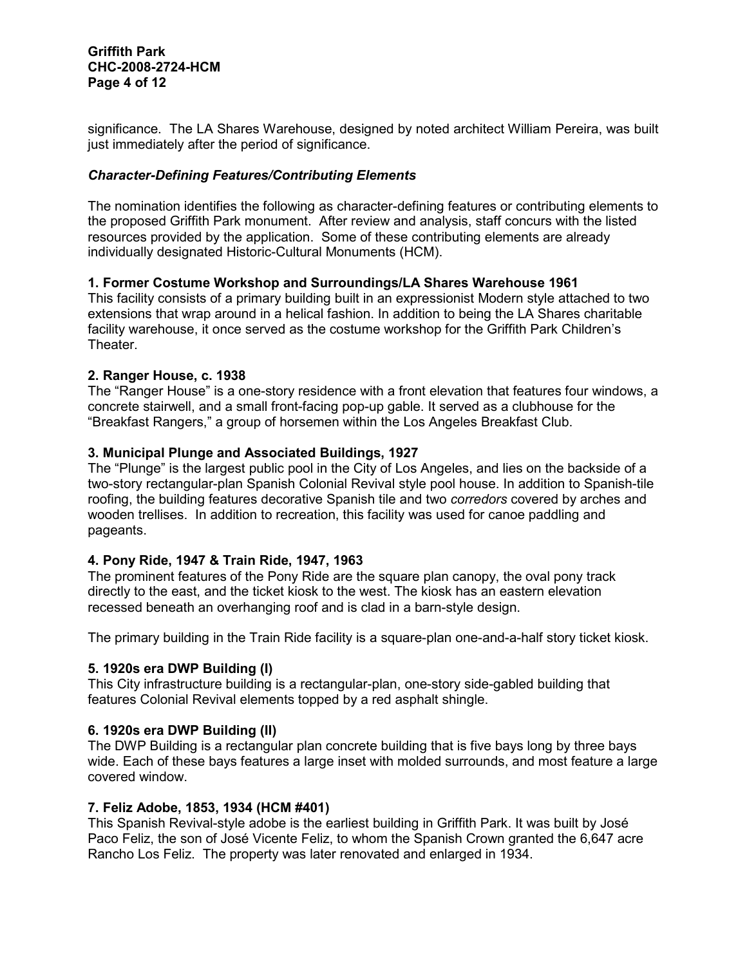#### Griffith Park CHC-2008-2724-HCM Page 4 of 12

significance. The LA Shares Warehouse, designed by noted architect William Pereira, was built just immediately after the period of significance.

# Character-Defining Features/Contributing Elements

The nomination identifies the following as character-defining features or contributing elements to the proposed Griffith Park monument. After review and analysis, staff concurs with the listed resources provided by the application. Some of these contributing elements are already individually designated Historic-Cultural Monuments (HCM).

# 1. Former Costume Workshop and Surroundings/LA Shares Warehouse 1961

This facility consists of a primary building built in an expressionist Modern style attached to two extensions that wrap around in a helical fashion. In addition to being the LA Shares charitable facility warehouse, it once served as the costume workshop for the Griffith Park Children's Theater.

#### 2. Ranger House, c. 1938

The "Ranger House" is a one-story residence with a front elevation that features four windows, a concrete stairwell, and a small front-facing pop-up gable. It served as a clubhouse for the "Breakfast Rangers," a group of horsemen within the Los Angeles Breakfast Club.

#### 3. Municipal Plunge and Associated Buildings, 1927

The "Plunge" is the largest public pool in the City of Los Angeles, and lies on the backside of a two-story rectangular-plan Spanish Colonial Revival style pool house. In addition to Spanish-tile roofing, the building features decorative Spanish tile and two *corredors* covered by arches and wooden trellises. In addition to recreation, this facility was used for canoe paddling and pageants.

# 4. Pony Ride, 1947 & Train Ride, 1947, 1963

The prominent features of the Pony Ride are the square plan canopy, the oval pony track directly to the east, and the ticket kiosk to the west. The kiosk has an eastern elevation recessed beneath an overhanging roof and is clad in a barn-style design.

The primary building in the Train Ride facility is a square-plan one-and-a-half story ticket kiosk.

#### 5. 1920s era DWP Building (I)

This City infrastructure building is a rectangular-plan, one-story side-gabled building that features Colonial Revival elements topped by a red asphalt shingle.

#### 6. 1920s era DWP Building (II)

The DWP Building is a rectangular plan concrete building that is five bays long by three bays wide. Each of these bays features a large inset with molded surrounds, and most feature a large covered window.

#### 7. Feliz Adobe, 1853, 1934 (HCM #401)

This Spanish Revival-style adobe is the earliest building in Griffith Park. It was built by José Paco Feliz, the son of José Vicente Feliz, to whom the Spanish Crown granted the 6,647 acre Rancho Los Feliz. The property was later renovated and enlarged in 1934.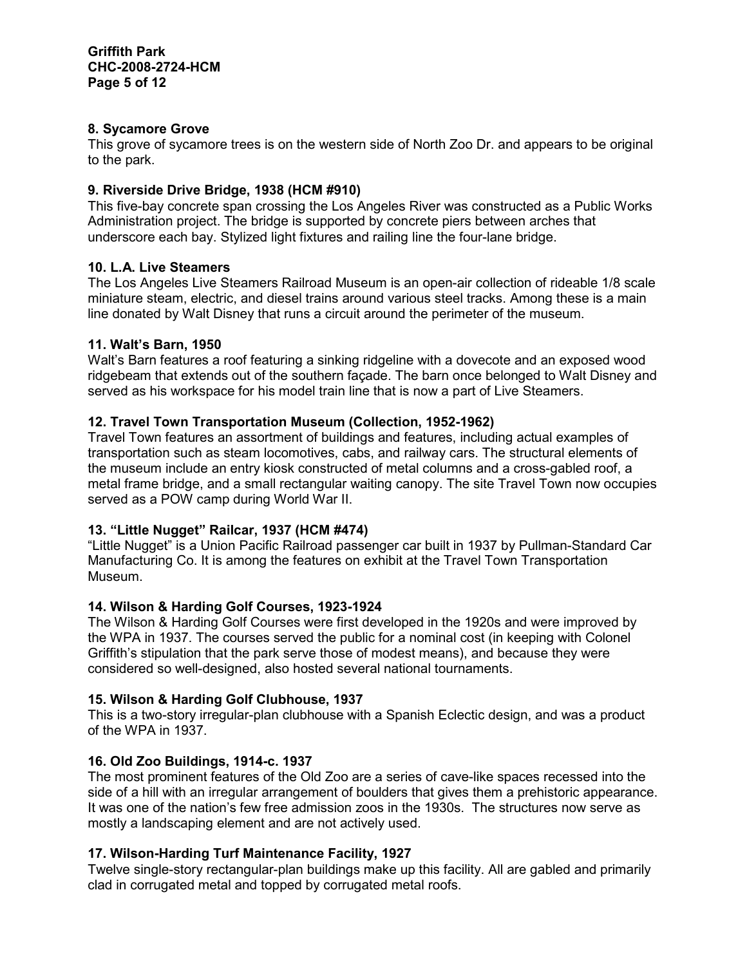# 8. Sycamore Grove

This grove of sycamore trees is on the western side of North Zoo Dr. and appears to be original to the park.

# 9. Riverside Drive Bridge, 1938 (HCM #910)

This five-bay concrete span crossing the Los Angeles River was constructed as a Public Works Administration project. The bridge is supported by concrete piers between arches that underscore each bay. Stylized light fixtures and railing line the four-lane bridge.

# 10. L.A. Live Steamers

The Los Angeles Live Steamers Railroad Museum is an open-air collection of rideable 1/8 scale miniature steam, electric, and diesel trains around various steel tracks. Among these is a main line donated by Walt Disney that runs a circuit around the perimeter of the museum.

# 11. Walt's Barn, 1950

Walt's Barn features a roof featuring a sinking ridgeline with a dovecote and an exposed wood ridgebeam that extends out of the southern façade. The barn once belonged to Walt Disney and served as his workspace for his model train line that is now a part of Live Steamers.

# 12. Travel Town Transportation Museum (Collection, 1952-1962)

Travel Town features an assortment of buildings and features, including actual examples of transportation such as steam locomotives, cabs, and railway cars. The structural elements of the museum include an entry kiosk constructed of metal columns and a cross-gabled roof, a metal frame bridge, and a small rectangular waiting canopy. The site Travel Town now occupies served as a POW camp during World War II.

# 13. "Little Nugget" Railcar, 1937 (HCM #474)

"Little Nugget" is a Union Pacific Railroad passenger car built in 1937 by Pullman-Standard Car Manufacturing Co. It is among the features on exhibit at the Travel Town Transportation Museum.

# 14. Wilson & Harding Golf Courses, 1923-1924

The Wilson & Harding Golf Courses were first developed in the 1920s and were improved by the WPA in 1937. The courses served the public for a nominal cost (in keeping with Colonel Griffith's stipulation that the park serve those of modest means), and because they were considered so well-designed, also hosted several national tournaments.

# 15. Wilson & Harding Golf Clubhouse, 1937

This is a two-story irregular-plan clubhouse with a Spanish Eclectic design, and was a product of the WPA in 1937.

# 16. Old Zoo Buildings, 1914-c. 1937

The most prominent features of the Old Zoo are a series of cave-like spaces recessed into the side of a hill with an irregular arrangement of boulders that gives them a prehistoric appearance. It was one of the nation's few free admission zoos in the 1930s. The structures now serve as mostly a landscaping element and are not actively used.

# 17. Wilson-Harding Turf Maintenance Facility, 1927

Twelve single-story rectangular-plan buildings make up this facility. All are gabled and primarily clad in corrugated metal and topped by corrugated metal roofs.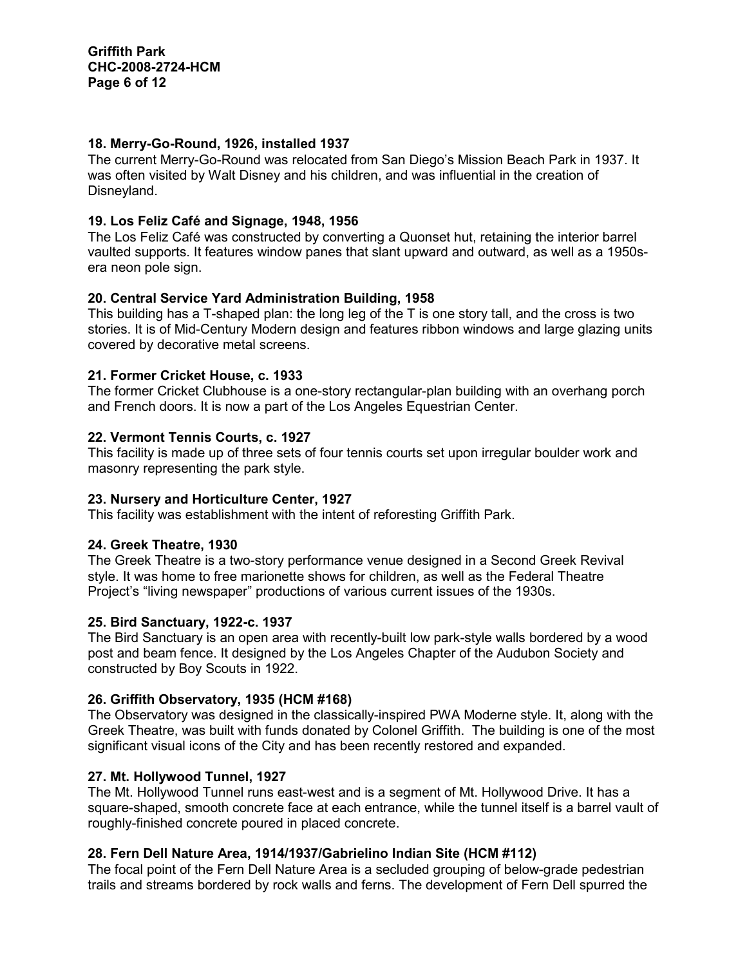### 18. Merry-Go-Round, 1926, installed 1937

The current Merry-Go-Round was relocated from San Diego's Mission Beach Park in 1937. It was often visited by Walt Disney and his children, and was influential in the creation of Disneyland.

# 19. Los Feliz Café and Signage, 1948, 1956

The Los Feliz Café was constructed by converting a Quonset hut, retaining the interior barrel vaulted supports. It features window panes that slant upward and outward, as well as a 1950sera neon pole sign.

# 20. Central Service Yard Administration Building, 1958

This building has a T-shaped plan: the long leg of the T is one story tall, and the cross is two stories. It is of Mid-Century Modern design and features ribbon windows and large glazing units covered by decorative metal screens.

#### 21. Former Cricket House, c. 1933

The former Cricket Clubhouse is a one-story rectangular-plan building with an overhang porch and French doors. It is now a part of the Los Angeles Equestrian Center.

#### 22. Vermont Tennis Courts, c. 1927

This facility is made up of three sets of four tennis courts set upon irregular boulder work and masonry representing the park style.

# 23. Nursery and Horticulture Center, 1927

This facility was establishment with the intent of reforesting Griffith Park.

# 24. Greek Theatre, 1930

The Greek Theatre is a two-story performance venue designed in a Second Greek Revival style. It was home to free marionette shows for children, as well as the Federal Theatre Project's "living newspaper" productions of various current issues of the 1930s.

#### 25. Bird Sanctuary, 1922-c. 1937

The Bird Sanctuary is an open area with recently-built low park-style walls bordered by a wood post and beam fence. It designed by the Los Angeles Chapter of the Audubon Society and constructed by Boy Scouts in 1922.

# 26. Griffith Observatory, 1935 (HCM #168)

The Observatory was designed in the classically-inspired PWA Moderne style. It, along with the Greek Theatre, was built with funds donated by Colonel Griffith. The building is one of the most significant visual icons of the City and has been recently restored and expanded.

# 27. Mt. Hollywood Tunnel, 1927

The Mt. Hollywood Tunnel runs east-west and is a segment of Mt. Hollywood Drive. It has a square-shaped, smooth concrete face at each entrance, while the tunnel itself is a barrel vault of roughly-finished concrete poured in placed concrete.

# 28. Fern Dell Nature Area, 1914/1937/Gabrielino Indian Site (HCM #112)

The focal point of the Fern Dell Nature Area is a secluded grouping of below-grade pedestrian trails and streams bordered by rock walls and ferns. The development of Fern Dell spurred the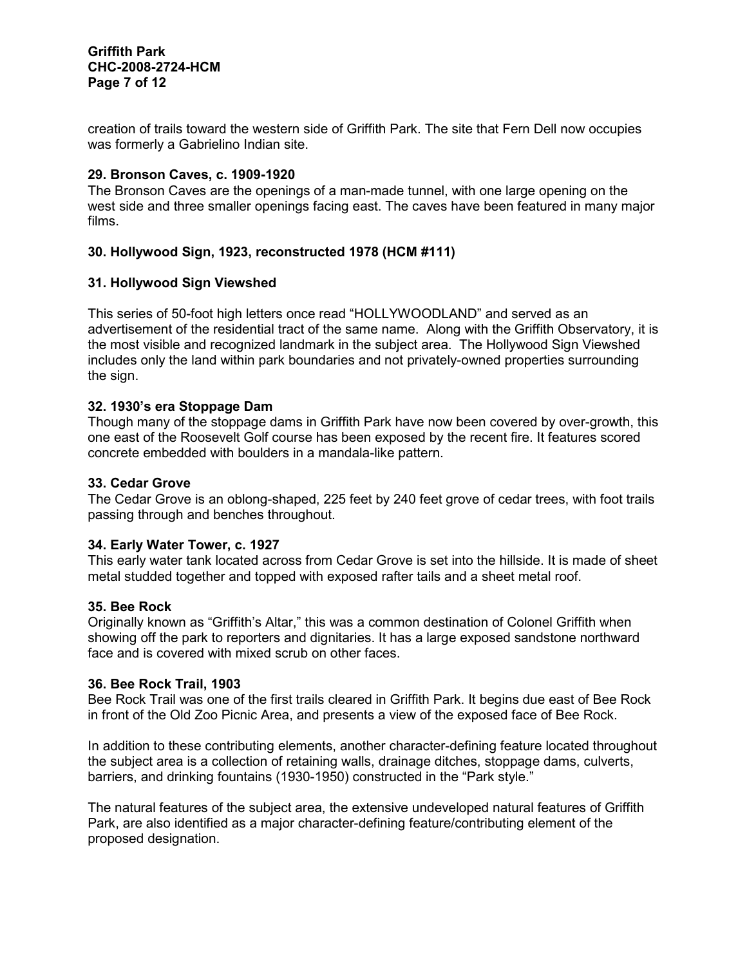creation of trails toward the western side of Griffith Park. The site that Fern Dell now occupies was formerly a Gabrielino Indian site.

### 29. Bronson Caves, c. 1909-1920

The Bronson Caves are the openings of a man-made tunnel, with one large opening on the west side and three smaller openings facing east. The caves have been featured in many major films.

# 30. Hollywood Sign, 1923, reconstructed 1978 (HCM #111)

#### 31. Hollywood Sign Viewshed

This series of 50-foot high letters once read "HOLLYWOODLAND" and served as an advertisement of the residential tract of the same name. Along with the Griffith Observatory, it is the most visible and recognized landmark in the subject area. The Hollywood Sign Viewshed includes only the land within park boundaries and not privately-owned properties surrounding the sign.

#### 32. 1930's era Stoppage Dam

Though many of the stoppage dams in Griffith Park have now been covered by over-growth, this one east of the Roosevelt Golf course has been exposed by the recent fire. It features scored concrete embedded with boulders in a mandala-like pattern.

#### 33. Cedar Grove

The Cedar Grove is an oblong-shaped, 225 feet by 240 feet grove of cedar trees, with foot trails passing through and benches throughout.

#### 34. Early Water Tower, c. 1927

This early water tank located across from Cedar Grove is set into the hillside. It is made of sheet metal studded together and topped with exposed rafter tails and a sheet metal roof.

#### 35. Bee Rock

Originally known as "Griffith's Altar," this was a common destination of Colonel Griffith when showing off the park to reporters and dignitaries. It has a large exposed sandstone northward face and is covered with mixed scrub on other faces.

#### 36. Bee Rock Trail, 1903

Bee Rock Trail was one of the first trails cleared in Griffith Park. It begins due east of Bee Rock in front of the Old Zoo Picnic Area, and presents a view of the exposed face of Bee Rock.

In addition to these contributing elements, another character-defining feature located throughout the subject area is a collection of retaining walls, drainage ditches, stoppage dams, culverts, barriers, and drinking fountains (1930-1950) constructed in the "Park style."

The natural features of the subject area, the extensive undeveloped natural features of Griffith Park, are also identified as a major character-defining feature/contributing element of the proposed designation.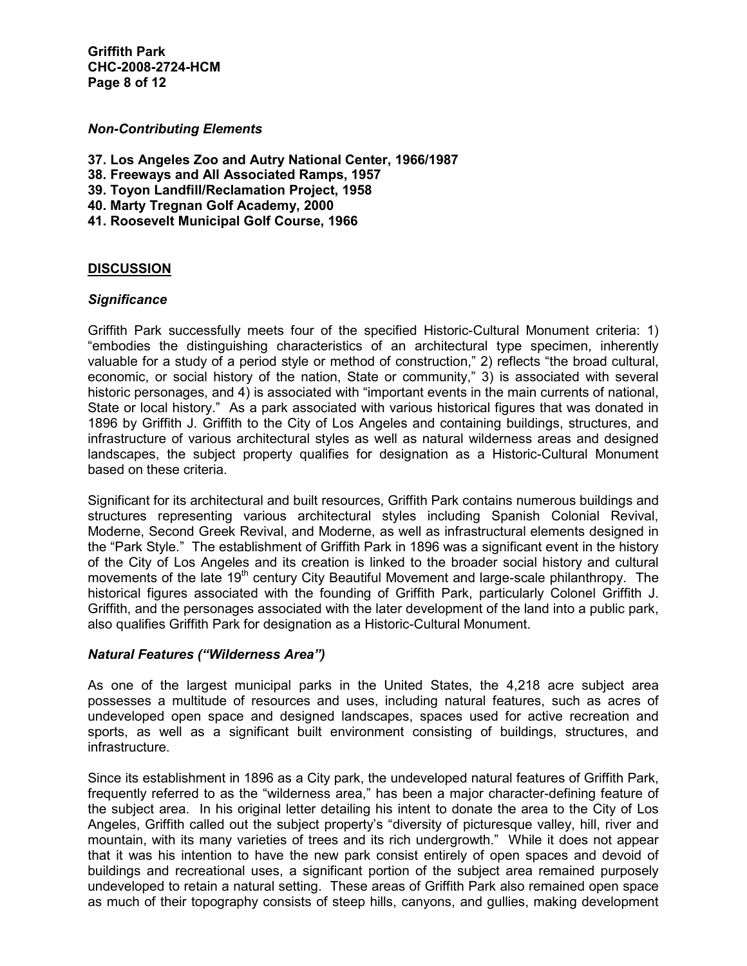Griffith Park CHC-2008-2724-HCM Page 8 of 12

#### Non-Contributing Elements

- 37. Los Angeles Zoo and Autry National Center, 1966/1987
- 38. Freeways and All Associated Ramps, 1957
- 39. Toyon Landfill/Reclamation Project, 1958
- 40. Marty Tregnan Golf Academy, 2000
- 41. Roosevelt Municipal Golf Course, 1966

#### **DISCUSSION**

#### **Significance**

Griffith Park successfully meets four of the specified Historic-Cultural Monument criteria: 1) "embodies the distinguishing characteristics of an architectural type specimen, inherently valuable for a study of a period style or method of construction," 2) reflects "the broad cultural, economic, or social history of the nation, State or community," 3) is associated with several historic personages, and 4) is associated with "important events in the main currents of national, State or local history." As a park associated with various historical figures that was donated in 1896 by Griffith J. Griffith to the City of Los Angeles and containing buildings, structures, and infrastructure of various architectural styles as well as natural wilderness areas and designed landscapes, the subject property qualifies for designation as a Historic-Cultural Monument based on these criteria.

Significant for its architectural and built resources, Griffith Park contains numerous buildings and structures representing various architectural styles including Spanish Colonial Revival, Moderne, Second Greek Revival, and Moderne, as well as infrastructural elements designed in the "Park Style." The establishment of Griffith Park in 1896 was a significant event in the history of the City of Los Angeles and its creation is linked to the broader social history and cultural movements of the late 19<sup>th</sup> century City Beautiful Movement and large-scale philanthropy. The historical figures associated with the founding of Griffith Park, particularly Colonel Griffith J. Griffith, and the personages associated with the later development of the land into a public park, also qualifies Griffith Park for designation as a Historic-Cultural Monument.

#### Natural Features ("Wilderness Area")

As one of the largest municipal parks in the United States, the 4,218 acre subject area possesses a multitude of resources and uses, including natural features, such as acres of undeveloped open space and designed landscapes, spaces used for active recreation and sports, as well as a significant built environment consisting of buildings, structures, and infrastructure.

Since its establishment in 1896 as a City park, the undeveloped natural features of Griffith Park, frequently referred to as the "wilderness area," has been a major character-defining feature of the subject area. In his original letter detailing his intent to donate the area to the City of Los Angeles, Griffith called out the subject property's "diversity of picturesque valley, hill, river and mountain, with its many varieties of trees and its rich undergrowth." While it does not appear that it was his intention to have the new park consist entirely of open spaces and devoid of buildings and recreational uses, a significant portion of the subject area remained purposely undeveloped to retain a natural setting. These areas of Griffith Park also remained open space as much of their topography consists of steep hills, canyons, and gullies, making development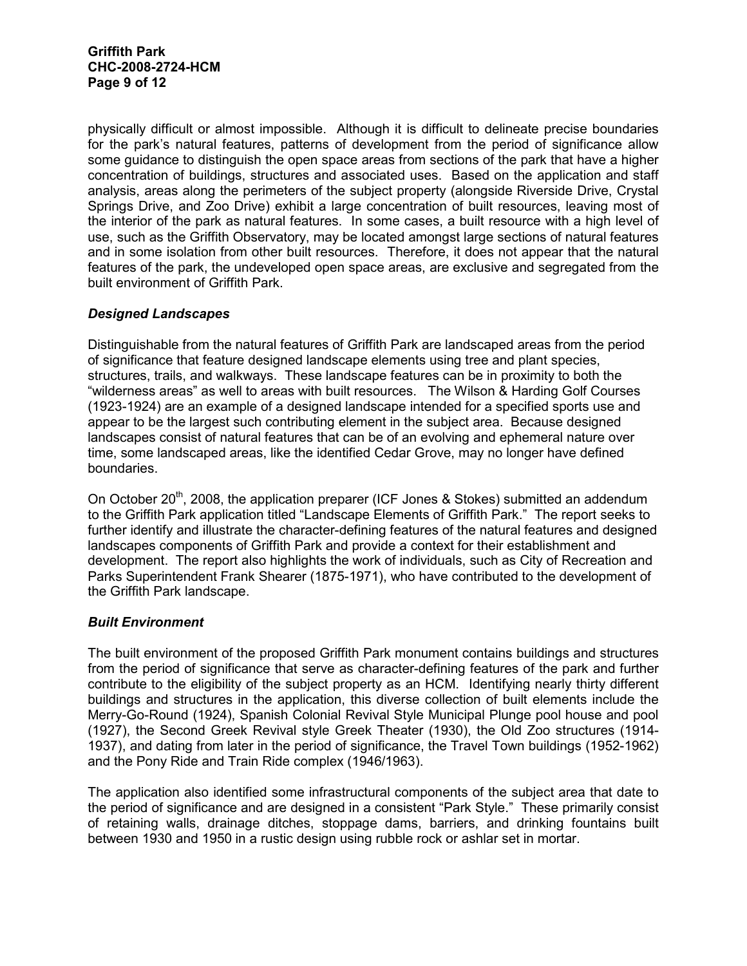physically difficult or almost impossible. Although it is difficult to delineate precise boundaries for the park's natural features, patterns of development from the period of significance allow some guidance to distinguish the open space areas from sections of the park that have a higher concentration of buildings, structures and associated uses. Based on the application and staff analysis, areas along the perimeters of the subject property (alongside Riverside Drive, Crystal Springs Drive, and Zoo Drive) exhibit a large concentration of built resources, leaving most of the interior of the park as natural features. In some cases, a built resource with a high level of use, such as the Griffith Observatory, may be located amongst large sections of natural features and in some isolation from other built resources. Therefore, it does not appear that the natural features of the park, the undeveloped open space areas, are exclusive and segregated from the built environment of Griffith Park.

# Designed Landscapes

Distinguishable from the natural features of Griffith Park are landscaped areas from the period of significance that feature designed landscape elements using tree and plant species, structures, trails, and walkways. These landscape features can be in proximity to both the "wilderness areas" as well to areas with built resources. The Wilson & Harding Golf Courses (1923-1924) are an example of a designed landscape intended for a specified sports use and appear to be the largest such contributing element in the subject area. Because designed landscapes consist of natural features that can be of an evolving and ephemeral nature over time, some landscaped areas, like the identified Cedar Grove, may no longer have defined boundaries.

On October 20<sup>th</sup>, 2008, the application preparer (ICF Jones & Stokes) submitted an addendum to the Griffith Park application titled "Landscape Elements of Griffith Park." The report seeks to further identify and illustrate the character-defining features of the natural features and designed landscapes components of Griffith Park and provide a context for their establishment and development. The report also highlights the work of individuals, such as City of Recreation and Parks Superintendent Frank Shearer (1875-1971), who have contributed to the development of the Griffith Park landscape.

# Built Environment

The built environment of the proposed Griffith Park monument contains buildings and structures from the period of significance that serve as character-defining features of the park and further contribute to the eligibility of the subject property as an HCM. Identifying nearly thirty different buildings and structures in the application, this diverse collection of built elements include the Merry-Go-Round (1924), Spanish Colonial Revival Style Municipal Plunge pool house and pool (1927), the Second Greek Revival style Greek Theater (1930), the Old Zoo structures (1914- 1937), and dating from later in the period of significance, the Travel Town buildings (1952-1962) and the Pony Ride and Train Ride complex (1946/1963).

The application also identified some infrastructural components of the subject area that date to the period of significance and are designed in a consistent "Park Style." These primarily consist of retaining walls, drainage ditches, stoppage dams, barriers, and drinking fountains built between 1930 and 1950 in a rustic design using rubble rock or ashlar set in mortar.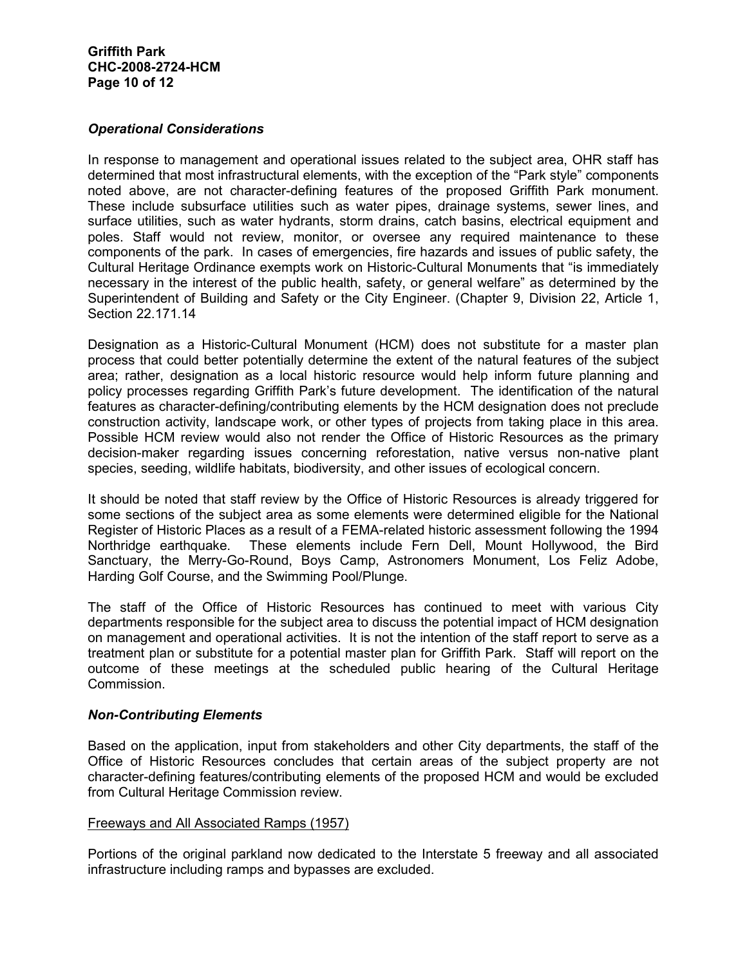#### Operational Considerations

In response to management and operational issues related to the subject area, OHR staff has determined that most infrastructural elements, with the exception of the "Park style" components noted above, are not character-defining features of the proposed Griffith Park monument. These include subsurface utilities such as water pipes, drainage systems, sewer lines, and surface utilities, such as water hydrants, storm drains, catch basins, electrical equipment and poles. Staff would not review, monitor, or oversee any required maintenance to these components of the park. In cases of emergencies, fire hazards and issues of public safety, the Cultural Heritage Ordinance exempts work on Historic-Cultural Monuments that "is immediately necessary in the interest of the public health, safety, or general welfare" as determined by the Superintendent of Building and Safety or the City Engineer. (Chapter 9, Division 22, Article 1, Section 22.171.14

Designation as a Historic-Cultural Monument (HCM) does not substitute for a master plan process that could better potentially determine the extent of the natural features of the subject area; rather, designation as a local historic resource would help inform future planning and policy processes regarding Griffith Park's future development. The identification of the natural features as character-defining/contributing elements by the HCM designation does not preclude construction activity, landscape work, or other types of projects from taking place in this area. Possible HCM review would also not render the Office of Historic Resources as the primary decision-maker regarding issues concerning reforestation, native versus non-native plant species, seeding, wildlife habitats, biodiversity, and other issues of ecological concern.

It should be noted that staff review by the Office of Historic Resources is already triggered for some sections of the subject area as some elements were determined eligible for the National Register of Historic Places as a result of a FEMA-related historic assessment following the 1994 Northridge earthquake. These elements include Fern Dell, Mount Hollywood, the Bird Sanctuary, the Merry-Go-Round, Boys Camp, Astronomers Monument, Los Feliz Adobe, Harding Golf Course, and the Swimming Pool/Plunge.

The staff of the Office of Historic Resources has continued to meet with various City departments responsible for the subject area to discuss the potential impact of HCM designation on management and operational activities. It is not the intention of the staff report to serve as a treatment plan or substitute for a potential master plan for Griffith Park. Staff will report on the outcome of these meetings at the scheduled public hearing of the Cultural Heritage Commission.

#### Non-Contributing Elements

Based on the application, input from stakeholders and other City departments, the staff of the Office of Historic Resources concludes that certain areas of the subject property are not character-defining features/contributing elements of the proposed HCM and would be excluded from Cultural Heritage Commission review.

#### Freeways and All Associated Ramps (1957)

Portions of the original parkland now dedicated to the Interstate 5 freeway and all associated infrastructure including ramps and bypasses are excluded.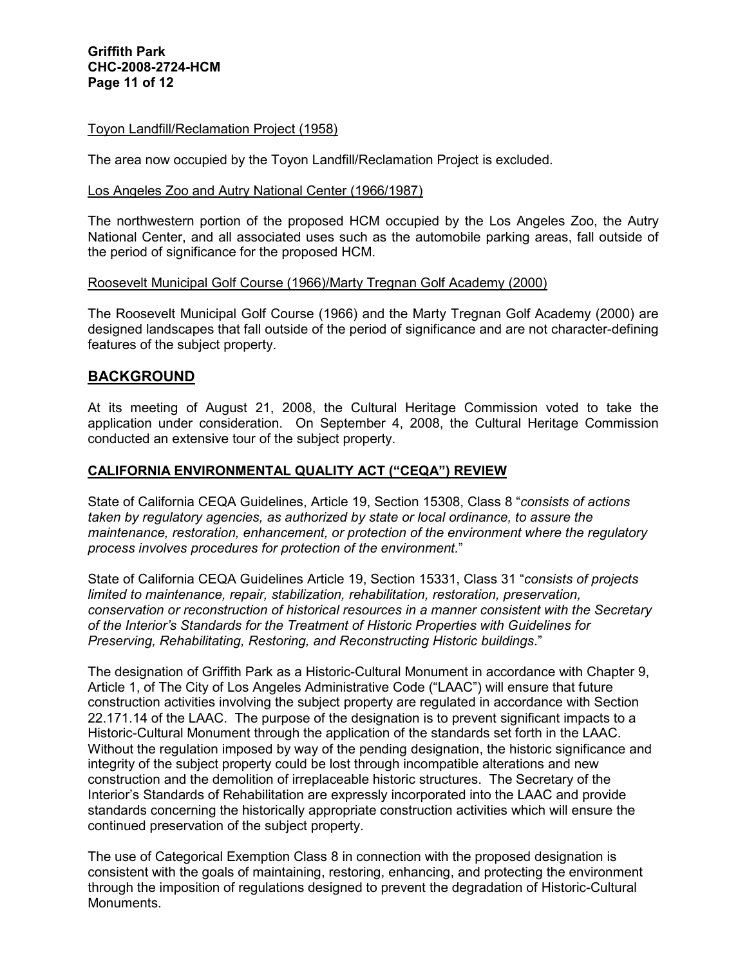#### Toyon Landfill/Reclamation Project (1958)

The area now occupied by the Toyon Landfill/Reclamation Project is excluded.

#### Los Angeles Zoo and Autry National Center (1966/1987)

The northwestern portion of the proposed HCM occupied by the Los Angeles Zoo, the Autry National Center, and all associated uses such as the automobile parking areas, fall outside of the period of significance for the proposed HCM.

#### Roosevelt Municipal Golf Course (1966)/Marty Tregnan Golf Academy (2000)

The Roosevelt Municipal Golf Course (1966) and the Marty Tregnan Golf Academy (2000) are designed landscapes that fall outside of the period of significance and are not character-defining features of the subject property.

# BACKGROUND

At its meeting of August 21, 2008, the Cultural Heritage Commission voted to take the application under consideration. On September 4, 2008, the Cultural Heritage Commission conducted an extensive tour of the subject property.

#### CALIFORNIA ENVIRONMENTAL QUALITY ACT ("CEQA") REVIEW

State of California CEQA Guidelines, Article 19, Section 15308, Class 8 "consists of actions taken by regulatory agencies, as authorized by state or local ordinance, to assure the maintenance, restoration, enhancement, or protection of the environment where the regulatory process involves procedures for protection of the environment."

State of California CEQA Guidelines Article 19, Section 15331, Class 31 "consists of projects limited to maintenance, repair, stabilization, rehabilitation, restoration, preservation, conservation or reconstruction of historical resources in a manner consistent with the Secretary of the Interior's Standards for the Treatment of Historic Properties with Guidelines for Preserving, Rehabilitating, Restoring, and Reconstructing Historic buildings."

The designation of Griffith Park as a Historic-Cultural Monument in accordance with Chapter 9, Article 1, of The City of Los Angeles Administrative Code ("LAAC") will ensure that future construction activities involving the subject property are regulated in accordance with Section 22.171.14 of the LAAC. The purpose of the designation is to prevent significant impacts to a Historic-Cultural Monument through the application of the standards set forth in the LAAC. Without the regulation imposed by way of the pending designation, the historic significance and integrity of the subject property could be lost through incompatible alterations and new construction and the demolition of irreplaceable historic structures. The Secretary of the Interior's Standards of Rehabilitation are expressly incorporated into the LAAC and provide standards concerning the historically appropriate construction activities which will ensure the continued preservation of the subject property.

The use of Categorical Exemption Class 8 in connection with the proposed designation is consistent with the goals of maintaining, restoring, enhancing, and protecting the environment through the imposition of regulations designed to prevent the degradation of Historic-Cultural Monuments.